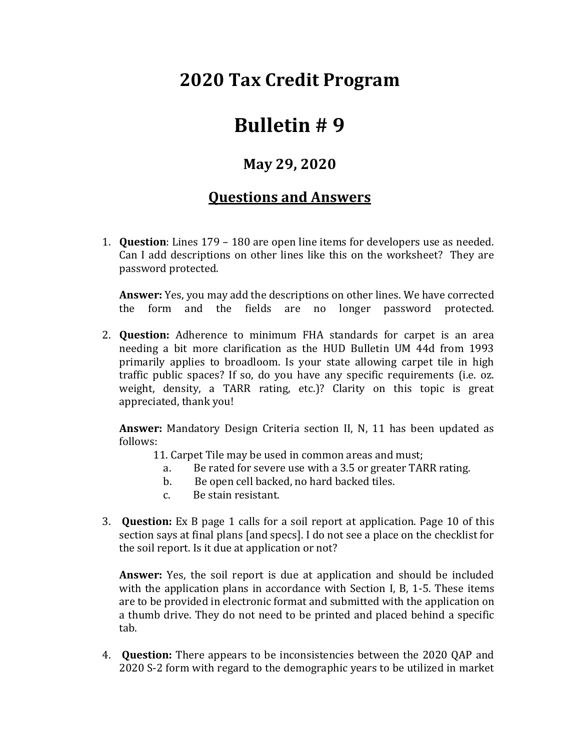## **2020 Tax Credit Program**

## **Bulletin # 9**

## **May 29, 2020**

## **Questions and Answers**

1. **Question**: Lines 179 – 180 are open line items for developers use as needed. Can I add descriptions on other lines like this on the worksheet? They are password protected.

**Answer:** Yes, you may add the descriptions on other lines. We have corrected the form and the fields are no longer password protected.

2. **Question:** Adherence to minimum FHA standards for carpet is an area needing a bit more clarification as the HUD Bulletin UM 44d from 1993 primarily applies to broadloom. Is your state allowing carpet tile in high traffic public spaces? If so, do you have any specific requirements (i.e. oz. weight, density, a TARR rating, etc.)? Clarity on this topic is great appreciated, thank you!

**Answer:** Mandatory Design Criteria section II, N, 11 has been updated as follows:

11. Carpet Tile may be used in common areas and must;

- a. Be rated for severe use with a 3.5 or greater TARR rating.
- b. Be open cell backed, no hard backed tiles.
- c. Be stain resistant.
- 3. **Question:** Ex B page 1 calls for a soil report at application. Page 10 of this section says at final plans [and specs]. I do not see a place on the checklist for the soil report. Is it due at application or not?

**Answer:** Yes, the soil report is due at application and should be included with the application plans in accordance with Section I, B, 1-5. These items are to be provided in electronic format and submitted with the application on a thumb drive. They do not need to be printed and placed behind a specific tab.

4. **Question:** There appears to be inconsistencies between the 2020 QAP and 2020 S-2 form with regard to the demographic years to be utilized in market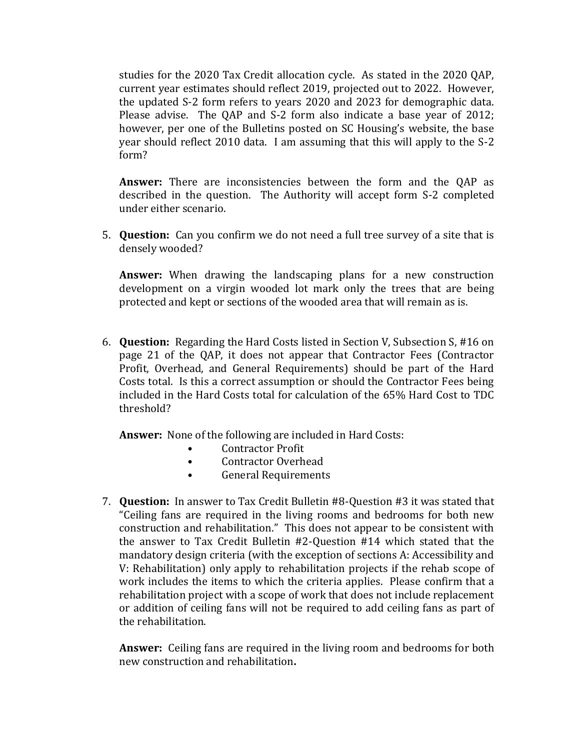studies for the 2020 Tax Credit allocation cycle. As stated in the 2020 QAP, current year estimates should reflect 2019, projected out to 2022. However, the updated S-2 form refers to years 2020 and 2023 for demographic data. Please advise. The QAP and S-2 form also indicate a base year of 2012; however, per one of the Bulletins posted on SC Housing's website, the base year should reflect 2010 data. I am assuming that this will apply to the S-2 form?

**Answer:** There are inconsistencies between the form and the QAP as described in the question. The Authority will accept form S-2 completed under either scenario.

5. **Question:** Can you confirm we do not need a full tree survey of a site that is densely wooded?

**Answer:** When drawing the landscaping plans for a new construction development on a virgin wooded lot mark only the trees that are being protected and kept or sections of the wooded area that will remain as is.

6. **Question:** Regarding the Hard Costs listed in Section V, Subsection S, #16 on page 21 of the QAP, it does not appear that Contractor Fees (Contractor Profit, Overhead, and General Requirements) should be part of the Hard Costs total. Is this a correct assumption or should the Contractor Fees being included in the Hard Costs total for calculation of the 65% Hard Cost to TDC threshold?

**Answer:** None of the following are included in Hard Costs:

- Contractor Profit
- Contractor Overhead
- General Requirements
- 7. **Question:** In answer to Tax Credit Bulletin #8-Question #3 it was stated that "Ceiling fans are required in the living rooms and bedrooms for both new construction and rehabilitation." This does not appear to be consistent with the answer to Tax Credit Bulletin #2-Question #14 which stated that the mandatory design criteria (with the exception of sections A: Accessibility and V: Rehabilitation) only apply to rehabilitation projects if the rehab scope of work includes the items to which the criteria applies. Please confirm that a rehabilitation project with a scope of work that does not include replacement or addition of ceiling fans will not be required to add ceiling fans as part of the rehabilitation.

**Answer:** Ceiling fans are required in the living room and bedrooms for both new construction and rehabilitation**.**